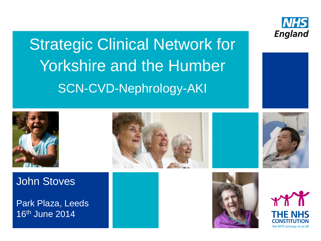

Strategic Clinical Network for Yorkshire and the Humber SCN-CVD-Nephrology-AKI





John Stoves

Park Plaza, Leeds 16th June 2014









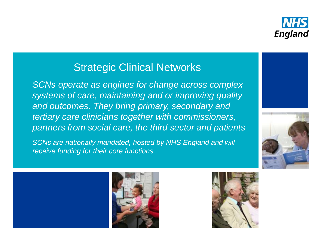

#### Strategic Clinical Networks

*SCNs operate as engines for change across complex systems of care, maintaining and or improving quality and outcomes. They bring primary, secondary and tertiary care clinicians together with commissioners, partners from social care, the third sector and patients*

*SCNs are nationally mandated, hosted by NHS England and will receive funding for their core functions*







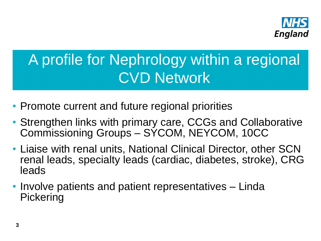

# A profile for Nephrology within a regional CVD Network

- Promote current and future regional priorities
- Strengthen links with primary care, CCGs and Collaborative Commissioning Groups – SYCOM, NEYCOM, 10CC
- Liaise with renal units, National Clinical Director, other SCN renal leads, specialty leads (cardiac, diabetes, stroke), CRG leads
- Involve patients and patient representatives Linda **Pickering**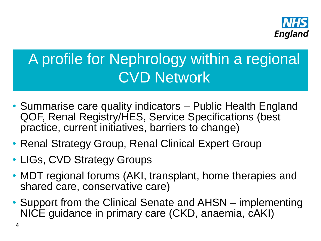

# A profile for Nephrology within a regional CVD Network

- Summarise care quality indicators Public Health England QOF, Renal Registry/HES, Service Specifications (best practice, current initiatives, barriers to change)
- Renal Strategy Group, Renal Clinical Expert Group
- LIGs, CVD Strategy Groups
- MDT regional forums (AKI, transplant, home therapies and shared care, conservative care)
- Support from the Clinical Senate and AHSN implementing NICE guidance in primary care (CKD, anaemia, cAKI)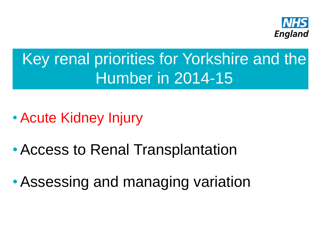

# Key renal priorities for Yorkshire and the Humber in 2014-15

- Acute Kidney Injury
- •Access to Renal Transplantation
- •Assessing and managing variation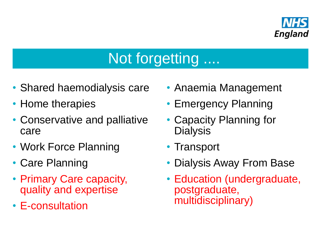

# Not forgetting ....

- Shared haemodialysis care
- Home therapies
- Conservative and palliative care
- Work Force Planning
- Care Planning
- Primary Care capacity, quality and expertise
- E-consultation
- Anaemia Management
- Emergency Planning
- Capacity Planning for **Dialysis**
- Transport
- Dialysis Away From Base
- Education (undergraduate, postgraduate, multidisciplinary)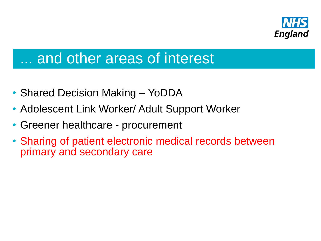

### ... and other areas of interest

- Shared Decision Making YoDDA
- Adolescent Link Worker/ Adult Support Worker
- Greener healthcare procurement
- Sharing of patient electronic medical records between primary and secondary care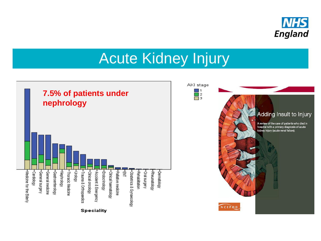

### Acute Kidney Injury

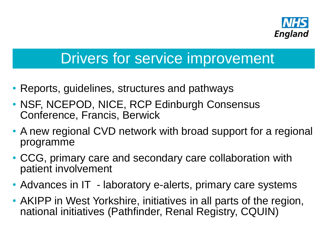

### Drivers for service improvement

- Reports, guidelines, structures and pathways
- NSF, NCEPOD, NICE, RCP Edinburgh Consensus Conference, Francis, Berwick
- A new regional CVD network with broad support for a regional programme
- CCG, primary care and secondary care collaboration with patient involvement
- Advances in IT laboratory e-alerts, primary care systems
- AKIPP in West Yorkshire, initiatives in all parts of the region, national initiatives (Pathfinder, Renal Registry, CQUIN)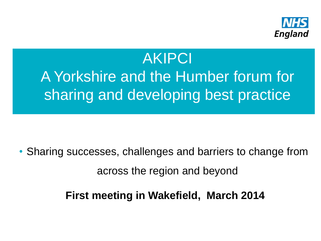

# AKIPCI A Yorkshire and the Humber forum for sharing and developing best practice

• Sharing successes, challenges and barriers to change from across the region and beyond

#### **First meeting in Wakefield, March 2014**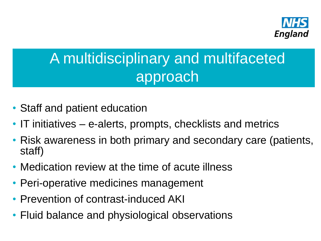

# A multidisciplinary and multifaceted approach

- Staff and patient education
- IT initiatives e-alerts, prompts, checklists and metrics
- Risk awareness in both primary and secondary care (patients, staff)
- Medication review at the time of acute illness
- Peri-operative medicines management
- Prevention of contrast-induced AKI
- Fluid balance and physiological observations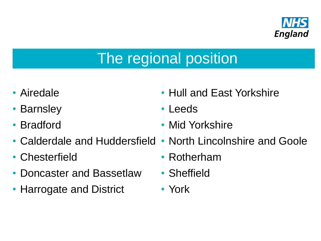

## The regional position

- Airedale
- **Barnsley**
- **Bradford**
- 
- Chesterfield
- Doncaster and Bassetlaw
- Harrogate and District
- Hull and East Yorkshire
- Leeds
- Mid Yorkshire
- Calderdale and Huddersfield North Lincolnshire and Goole
	- Rotherham
	- Sheffield
	- York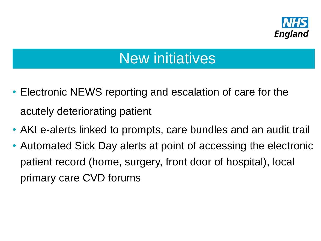

### New initiatives

- Electronic NEWS reporting and escalation of care for the acutely deteriorating patient
- AKI e-alerts linked to prompts, care bundles and an audit trail
- Automated Sick Day alerts at point of accessing the electronic patient record (home, surgery, front door of hospital), local primary care CVD forums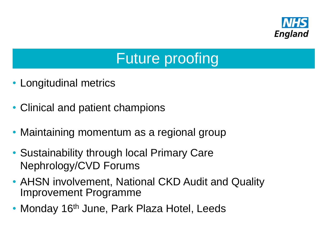

### Future proofing

- Longitudinal metrics
- Clinical and patient champions
- Maintaining momentum as a regional group
- Sustainability through local Primary Care Nephrology/CVD Forums
- AHSN involvement, National CKD Audit and Quality Improvement Programme
- Monday 16<sup>th</sup> June, Park Plaza Hotel, Leeds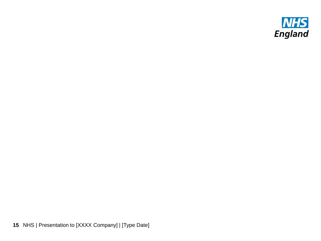